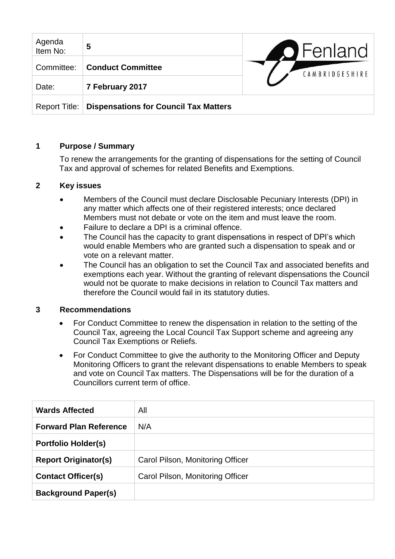| Agenda<br>Item No: | 5                                            | <b>O</b> Fenland |
|--------------------|----------------------------------------------|------------------|
| Committee:         | <b>Conduct Committee</b>                     | CAMBRIDGESHIRE   |
| Date:              | 7 February 2017                              |                  |
| Report Title:      | <b>Dispensations for Council Tax Matters</b> |                  |

# **1 Purpose / Summary**

To renew the arrangements for the granting of dispensations for the setting of Council Tax and approval of schemes for related Benefits and Exemptions.

### **2 Key issues**

- Members of the Council must declare Disclosable Pecuniary Interests (DPI) in any matter which affects one of their registered interests; once declared Members must not debate or vote on the item and must leave the room.
- Failure to declare a DPI is a criminal offence.
- The Council has the capacity to grant dispensations in respect of DPI's which would enable Members who are granted such a dispensation to speak and or vote on a relevant matter.
- The Council has an obligation to set the Council Tax and associated benefits and exemptions each year. Without the granting of relevant dispensations the Council would not be quorate to make decisions in relation to Council Tax matters and therefore the Council would fail in its statutory duties.

### **3 Recommendations**

- For Conduct Committee to renew the dispensation in relation to the setting of the Council Tax, agreeing the Local Council Tax Support scheme and agreeing any Council Tax Exemptions or Reliefs.
- For Conduct Committee to give the authority to the Monitoring Officer and Deputy Monitoring Officers to grant the relevant dispensations to enable Members to speak and vote on Council Tax matters. The Dispensations will be for the duration of a Councillors current term of office.

| <b>Wards Affected</b>         | All                              |
|-------------------------------|----------------------------------|
| <b>Forward Plan Reference</b> | N/A                              |
| <b>Portfolio Holder(s)</b>    |                                  |
| <b>Report Originator(s)</b>   | Carol Pilson, Monitoring Officer |
| <b>Contact Officer(s)</b>     | Carol Pilson, Monitoring Officer |
| <b>Background Paper(s)</b>    |                                  |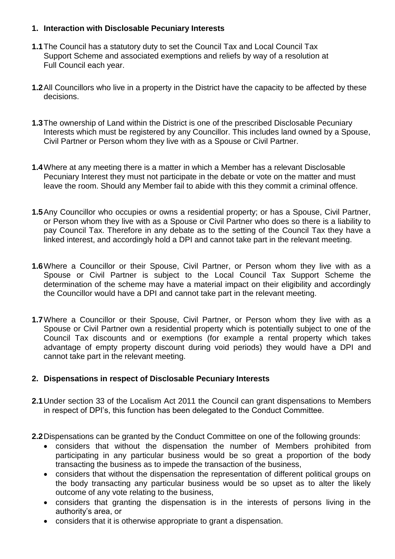## **1. Interaction with Disclosable Pecuniary Interests**

- **1.1**The Council has a statutory duty to set the Council Tax and Local Council Tax Support Scheme and associated exemptions and reliefs by way of a resolution at Full Council each year.
- **1.2**All Councillors who live in a property in the District have the capacity to be affected by these decisions.
- **1.3**The ownership of Land within the District is one of the prescribed Disclosable Pecuniary Interests which must be registered by any Councillor. This includes land owned by a Spouse, Civil Partner or Person whom they live with as a Spouse or Civil Partner.
- **1.4**Where at any meeting there is a matter in which a Member has a relevant Disclosable Pecuniary Interest they must not participate in the debate or vote on the matter and must leave the room. Should any Member fail to abide with this they commit a criminal offence.
- **1.5**Any Councillor who occupies or owns a residential property; or has a Spouse, Civil Partner, or Person whom they live with as a Spouse or Civil Partner who does so there is a liability to pay Council Tax. Therefore in any debate as to the setting of the Council Tax they have a linked interest, and accordingly hold a DPI and cannot take part in the relevant meeting.
- **1.6**Where a Councillor or their Spouse, Civil Partner, or Person whom they live with as a Spouse or Civil Partner is subject to the Local Council Tax Support Scheme the determination of the scheme may have a material impact on their eligibility and accordingly the Councillor would have a DPI and cannot take part in the relevant meeting.
- **1.7**Where a Councillor or their Spouse, Civil Partner, or Person whom they live with as a Spouse or Civil Partner own a residential property which is potentially subject to one of the Council Tax discounts and or exemptions (for example a rental property which takes advantage of empty property discount during void periods) they would have a DPI and cannot take part in the relevant meeting.

### **2. Dispensations in respect of Disclosable Pecuniary Interests**

- **2.1**Under section 33 of the Localism Act 2011 the Council can grant dispensations to Members in respect of DPI's, this function has been delegated to the Conduct Committee.
- **2.2**Dispensations can be granted by the Conduct Committee on one of the following grounds:
	- considers that without the dispensation the number of Members prohibited from participating in any particular business would be so great a proportion of the body transacting the business as to impede the transaction of the business,
	- considers that without the dispensation the representation of different political groups on the body transacting any particular business would be so upset as to alter the likely outcome of any vote relating to the business,
	- considers that granting the dispensation is in the interests of persons living in the authority's area, or
	- considers that it is otherwise appropriate to grant a dispensation.